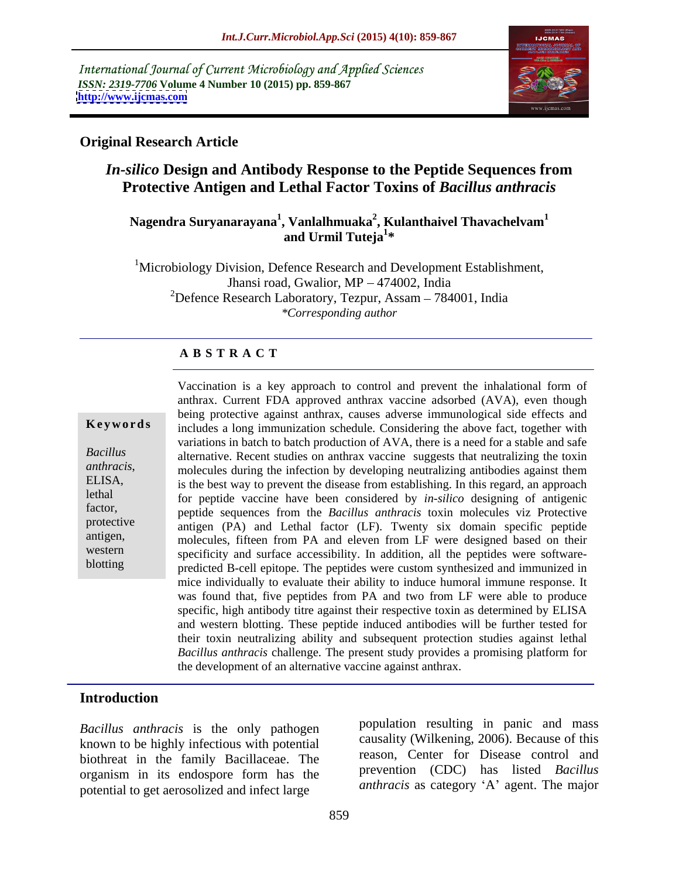International Journal of Current Microbiology and Applied Sciences *ISSN: 2319-7706* **Volume 4 Number 10 (2015) pp. 859-867 <http://www.ijcmas.com>**



## **Original Research Article**

## *In-silico* **Design and Antibody Response to the Peptide Sequences from Protective Antigen and Lethal Factor Toxins of** *Bacillus anthracis*

### **Nagendra Suryanarayana<sup>1</sup> , Vanlalhmuaka<sup>2</sup> , Kulanthaivel Thavachelvam<sup>1</sup> and Urmil Tuteja<sup>1</sup> \***

<sup>1</sup>Microbiology Division, Defence Research and Development Establishment, Jhansi road, Gwalior, MP - 474002, India <sup>2</sup>Defence Research Laboratory, Tezpur, Assam  $-784001$ , India *\*Corresponding author*

## **A B S T R A C T**

blotting

Vaccination is a key approach to control and prevent the inhalational form of anthrax. Current FDA approved anthrax vaccine adsorbed (AVA), even though being protective against anthrax, causes adverse immunological side effects and **Keywords** includes a long immunization schedule. Considering the above fact, together with variations in batch to batch production of AVA, there is a need for a stable and safe alternative. Recent studies on anthrax vaccine suggests that neutralizing the toxin *Bacillus anthracis*,<br>
ELISA, is the best way to prevent the disease from establishing In this regard an approach is the best way to prevent the disease from establishing. In this regard, an approach for peptide vaccine have been considered by *in-silico* designing of antigenic lethal factor, peptide sequences from the *Bacillus anthracis* toxin molecules viz Protective protective antigen (PA) and Lethal factor (LF). Twenty six domain specific peptide molecules, fifteen from PA and eleven from LF were designed based on their antigen, western specificity and surface accessibility. In addition, all the peptides were softwarepredicted B-cell epitope. The peptides were custom synthesized and immunized in mice individually to evaluate their ability to induce humoral immune response. It was found that, five peptides from PA and two from LF were able to produce specific, high antibody titre against their respective toxin as determined by ELISA and western blotting. These peptide induced antibodies will be further tested for their toxin neutralizing ability and subsequent protection studies against lethal *Bacillus anthracis* challenge. The present study provides a promising platform for the development of an alternative vaccine against anthrax.

## **Introduction**

*Bacillus anthracis* is the only pathogen known to be highly infectious with potential biothreat in the family Bacillaceae. The organism in its endospore form has the potential to get aerosolized and infect large

population resulting in panic and mass causality (Wilkening, 2006). Because of this reason, Center for Disease control and prevention (CDC) has listed *Bacillus anthracis* as category 'A' agent. The major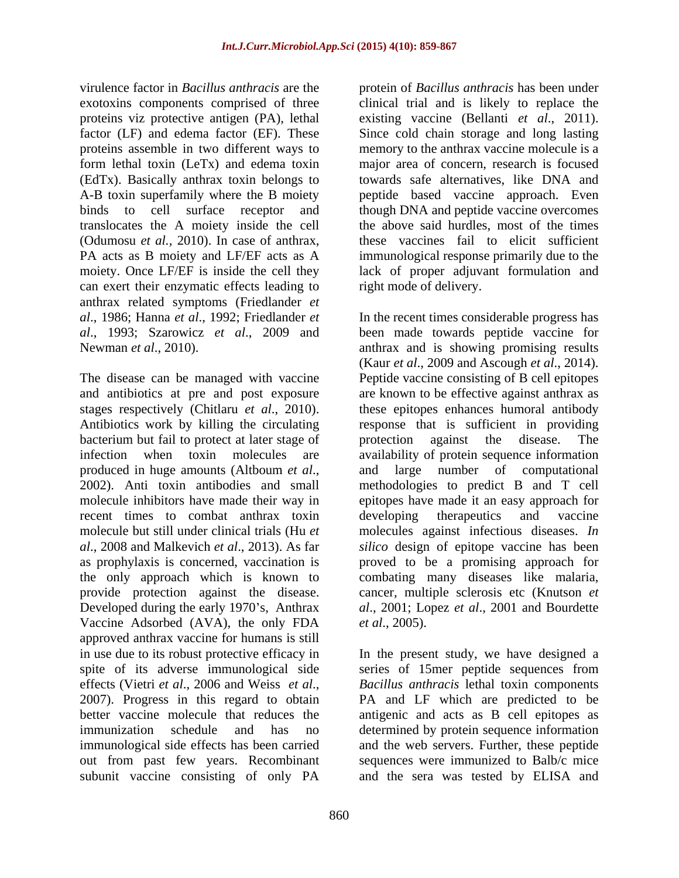virulence factor in *Bacillus anthracis* are the protein of *Bacillus anthracis* has been under exotoxins components comprised of three clinical trial and is likely to replace the proteins viz protective antigen (PA), lethal factor (LF) and edema factor (EF). These Since cold chain storage and long lasting proteins assemble in two different ways to memory to the anthrax vaccine molecule is a form lethal toxin (LeTx) and edema toxin major area of concern, research is focused (EdTx). Basically anthrax toxin belongs to towards safe alternatives, like DNA and A-B toxin superfamily where the B moiety peptide based vaccine approach. Even binds to cell surface receptor and though DNA and peptide vaccine overcomes translocates the A moiety inside the cell (Odumosu *et al.,* 2010). In case of anthrax, PA acts as B moiety and LF/EF acts as A immunological response primarily due to the moiety. Once LF/EF is inside the cell they lack of proper adjuvant formulation and can exert their enzymatic effects leading to anthrax related symptoms (Friedlander *et* 

bacterium but fail to protect at later stage of protection against the disease. The recent times to combat anthrax toxin developing the rapeutics and vaccine Vaccine Adsorbed (AVA), the only FDA *et al.*, 2005). approved anthrax vaccine for humans is still out from past few years. Recombinant subunit vaccine consisting of only PA and the sera was tested by ELISA and

existing vaccine (Bellanti *et al*., 2011). the above said hurdles, most of the times these vaccines fail to elicit sufficient right mode of delivery.

*al*., 1986; Hanna *et al*., 1992; Friedlander *et*  In the recent times considerable progress has *al*., 1993; Szarowicz *et al*., 2009 and been made towards peptide vaccine for Newman *et al.*, 2010). The anthrax and is showing promising results The disease can be managed with vaccine Peptide vaccine consisting of B cell epitopes and antibiotics at pre and post exposure are known to be effective against anthrax as stages respectively (Chitlaru *et al*., 2010). these epitopes enhances humoral antibody Antibiotics work by killing the circulating response that is sufficient in providing infection when toxin molecules are availability of protein sequence information produced in huge amounts (Altboum *et al*., and large number of computational 2002). Anti toxin antibodies and small methodologies to predict B and T cell molecule inhibitors have made their way in epitopes have made it an easy approach for molecule but still under clinical trials (Hu *et*  molecules against infectious diseases. *In al*., 2008 and Malkevich *et al*., 2013). As far *silico* design of epitope vaccine has been as prophylaxis is concerned, vaccination is proved to be a promising approach for the only approach which is known to combating many diseases like malaria, provide protection against the disease. cancer, multiple sclerosis etc (Knutson *et* Developed during the early 1970's, Anthrax al., 2001; Lopez *et al.*, 2001 and Bourdette (Kaur *et al*., 2009 and Ascough *et al*., 2014). protection against the disease. The and large number of computational methodologies to predict B and T cell developing therapeutics and vaccine *et al*., 2005).

in use due to its robust protective efficacy in In the present study, we have designed a spite of its adverse immunological side series of 15mer peptide sequences from effects (Vietri *et al.*, 2006 and Weiss *et al.*, *Bacillus anthracis* lethal toxin components 2007). Progress in this regard to obtain PA and LF which are predicted to be better vaccine molecule that reduces the antigenic and acts as B cell epitopes as immunization schedule and has no determined by protein sequence information immunological side effects has been carried and the web servers. Further, these peptide *Bacillus anthracis* lethal toxin components PA and LF which are predicted to be sequences were immunized to Balb/c mice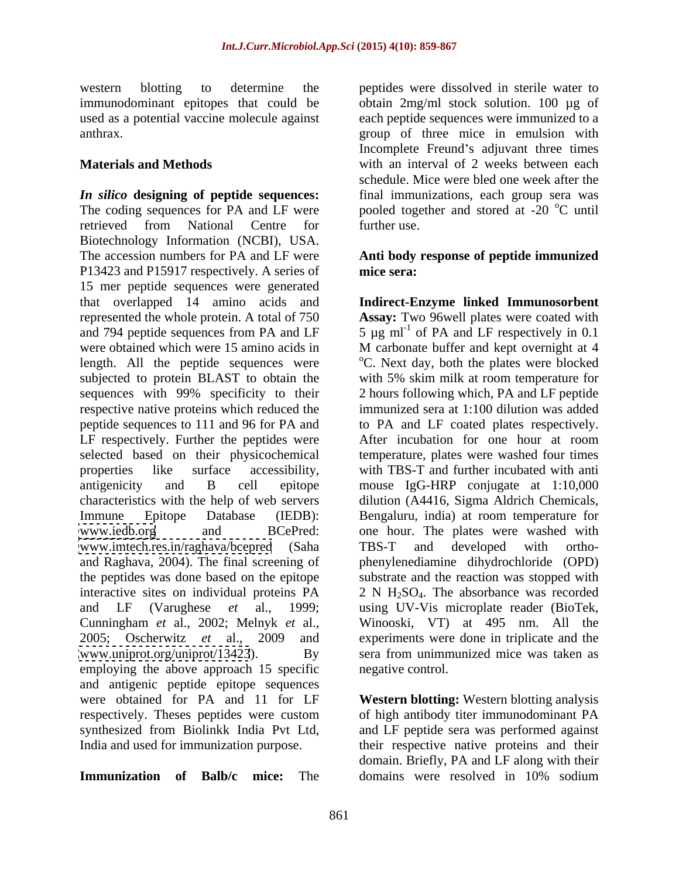used as a potential vaccine molecule against

*In silico* **designing of peptide sequences:** final immunizations, each group sera was The coding sequences for PA and LF were  $\qquad$  pooled together and stored at -20  $\degree$ C until retrieved from National Centre for Biotechnology Information (NCBI), USA. The accession numbers for PA and LF were **Anti body response of peptide immunized** P13423 and P15917 respectively. A series of mice sera: 15 mer peptide sequences were generated that overlapped 14 amino acids and **Indirect-Enzyme linked Immunosorbent** represented the whole protein. A total of 750 and 794 peptide sequences from PA and LF  $\qquad$  5  $\mu$ g ml<sup>-1</sup> of PA and LF respectively in 0.1 were obtained which were 15 amino acids in M carbonate buffer and kept overnight at 4 length. All the peptide sequences were <sup>o</sup>C. Next day, both the plates were blocked subjected to protein BLAST to obtain the with 5% skim milk at room temperature for sequences with 99% specificity to their 2 hours following which, PA and LF peptide respective native proteins which reduced the immunized sera at 1:100 dilution was added peptide sequences to 111 and 96 for PA and LF respectively. Further the peptides were After incubation for one hour at room selected based on their physicochemical temperature, plates were washed four times properties like surface accessibility, with TBS-T and further incubated with anti antigenicity and B cell epitope mouse IgG-HRP conjugate at 1:10,000 characteristics with the help of web servers dilution (A4416, Sigma Aldrich Chemicals, Immune Epitope Database (IEDB): Bengaluru, india) at room temperature for [www.iedb.org](http://www.iedb.org) and BCePred: one hour. The plates were washed with [www.imtech.res.in/raghava/bcepred](http://www.imtech.res.in/raghava/bcepred) (Saha and Raghava, 2004). The final screening of phenylenediamine dihydrochloride (OPD) the peptides was done based on the epitope interactive sites on individual proteins  $PA$  2 N  $H_2SO_4$ . The absorbance was recorded and LF (Varughese *et* al., 1999; using UV-Vis microplate reader (BioTek, Cunningham *et* al., 2002; Melnyk *et* al., Winooski, VT) at 495 nm. All the 2005; Oscherwitz *et* al., 2009 and experiments were done in triplicate and the [www.uniprot.org/uniprot/13423](http://www.uniprot.org/uniprot/13423)). By sera from unimmunized mice was taken as employing the above approach 15 specific and antigenic peptide epitope sequences were obtained for PA and 11 for LF **Western blotting:** Western blotting analysis respectively. Theses peptides were custom of high antibody titer immunodominant PA synthesized from Biolinkk India Pvt Ltd, and LF peptide sera was performed against

**Immunization of Balb/c mice:** The domains were resolved in 10% sodium

western blotting to determine the peptides were dissolved in sterile water to immunodominant epitopes that could be obtain 2mg/ml stock solution. 100 µg of anthrax. group of three mice in emulsion with **Materials and Methods with an interval of 2 weeks between each** each peptide sequences were immunized to a Incomplete Freund's adjuvant three times schedule. Mice were bled one week after the further use.

# **mice sera:**

**Assay:** Two 96well plates were coated with of PA and LF respectively in 0.1 to PA and LF coated plates respectively. TBS-T and developed with ortho substrate and the reaction was stopped with negative control.

India and used for immunization purpose. their respective native proteins and their domain. Briefly, PA and LF along with their domains were resolved in 10% sodium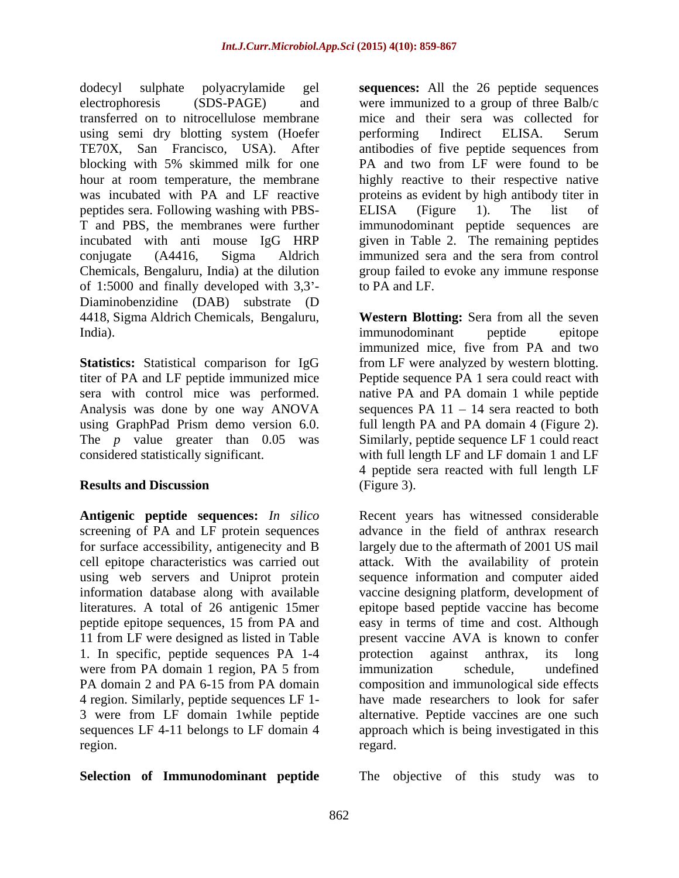dodecyl sulphate polyacrylamide gel **sequences:** All the 26 peptide sequences electrophoresis (SDS-PAGE) and were immunized to a group of three Balb/c transferred on to nitrocellulose membrane mice and their sera was collected for using semi dry blotting system (Hoefer berforming Indirect ELISA. Serum TE70X, San Francisco, USA). After antibodies of five peptide sequences from blocking with 5% skimmed milk for one PA and two from LF were found to be hour at room temperature, the membrane highly reactive to their respective native was incubated with PA and LF reactive proteins as evident by high antibody titer in peptides sera. Following washing with PBS- T and PBS, the membranes were further incubated with anti mouse IgG HRP given in Table 2. The remaining peptides conjugate (A4416, Sigma Aldrich immunized sera and the sera from control Chemicals, Bengaluru, India) at the dilution group failed to evoke any immune response of 1:5000 and finally developed with  $3.3'$ - to PA and LF. Diaminobenzidine (DAB) substrate (D 4418, Sigma Aldrich Chemicals, Bengaluru, **Western Blotting:** Sera from all the seven India). The immunodominant peptide epitope experience in the example of the example of the example of the example of the example of the example of the example of the example of the example of the example of the example of

**Statistics:** Statistical comparison for IgG Analysis was done by one way ANOVA using GraphPad Prism demo version 6.0.

**Antigenic peptide sequences:** *In silico* for surface accessibility, antigenecity and B 1. In specific, peptide sequences PA 1-4 4 region. Similarly, peptide sequences LF 1- 3 were from LF domain 1while peptide sequences LF 4-11 belongs to LF domain 4

**Selection of Immunodominant peptide**

performing Indirect ELISA. Serum ELISA (Figure 1). The list of immunodominant peptide sequences are to PA and LF.

titer of PA and LF peptide immunized mice Peptide sequence PA 1 sera could react with sera with control mice was performed. native PA and PA domain 1 while peptide The *p* value greater than 0.05 was Similarly, peptide sequence LF 1 could react considered statistically significant. with full length LF and LF domain 1 and LF **Results and Discussion** (Figure 3). immunodominant peptide epitope immunized mice, five from PA and two from LF were analyzed by western blotting. sequences  $PA$  11 - 14 sera reacted to both full length PA and PA domain 4 (Figure 2). 4 peptide sera reacted with full length LF (Figure 3).

screening of PA and LF protein sequences advance in the field of anthrax research cell epitope characteristics was carried out attack. With the availability of protein using web servers and Uniprot protein sequence information and computer aided information database along with available vaccine designing platform, development of literatures. A total of 26 antigenic 15mer epitope based peptide vaccine has become peptide epitope sequences, 15 from PA and easy in terms of time and cost. Although 11 from LF were designed as listed in Table present vaccine AVA is known to confer were from PA domain 1 region, PA 5 from immunization schedule, undefined PA domain 2 and PA 6-15 from PA domain composition and immunological side effects region. The contract of the contract of the contract of the contract of the contract of the contract of the contract of the contract of the contract of the contract of the contract of the contract of the contract of the co Recent years has witnessed considerable largely due to the aftermath of 2001 US mail protection against anthrax, its long immunization schedule, undefined composition and immunological side effects have made researchers to look for safer alternative. Peptide vaccines are one such approach which is being investigated in this regard. The contract of the contract of the contract of the contract of the contract of the contract of the contract of the contract of the contract of the contract of the contract of the contract of the contract of the co

The objective of this study was to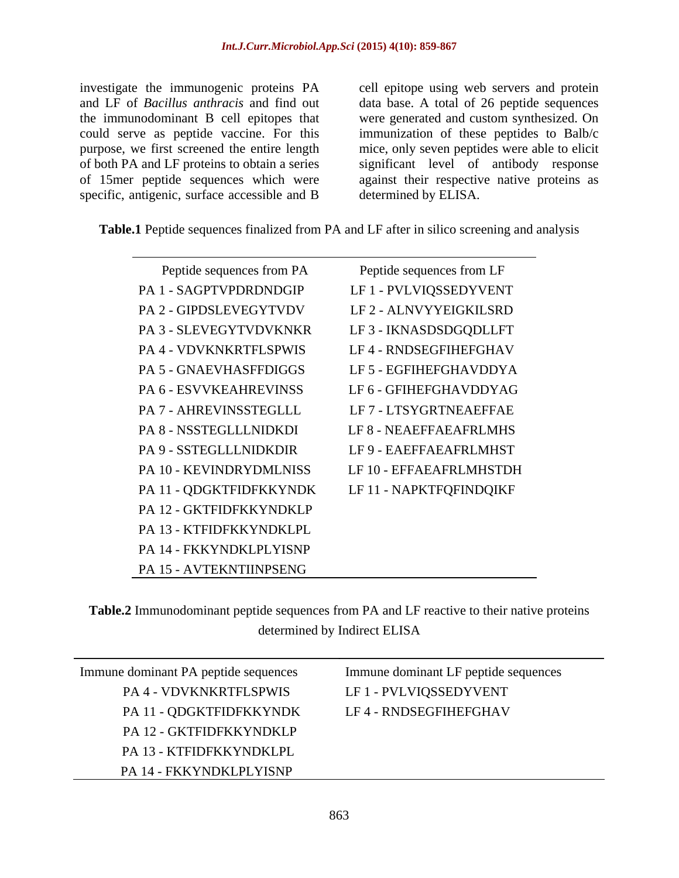investigate the immunogenic proteins PA cell epitope using web servers and protein and LF of *Bacillus anthracis* and find out data base. A total of26 peptide sequences the immunodominant B cell epitopes that were generated and custom synthesized. On could serve as peptide vaccine. For this immunization of these peptides to Balb/c purpose, we first screened the entire length mice, only seven peptides were able to elicit of both PA and LF proteins to obtain a series significant level of antibody response of 15mer peptide sequences which were against their respective native proteins as specific, antigenic, surface accessible and B

determined by ELISA.

**Table.1** Peptide sequences finalized from PA and LF after in silico screening and analysis

| Peptide sequences from PA | Peptide sequences from LF |
|---------------------------|---------------------------|
| PA 1 - SAGPTVPDRDNDGIP    | LF 1 - PVLVIQSSEDYVENT    |
| PA 2 - GIPDSLEVEGYTVDV    | LF 2 - ALNVYYEIGKILSRD    |
| PA 3 - SLEVEGYTVDVKNKR    | LF3 - IKNASDSDGQDLLFT     |
| PA 4 - VDVKNKRTFLSPWIS    | LF 4 - RNDSEGFIHEFGHAV    |
| PA 5 - GNAEVHASFFDIGGS    | LF 5 - EGFIHEFGHAVDDYA    |
| PA 6 - ESVVKEAHREVINSS    | LF 6 - GFIHEFGHAVDDYAG    |
| PA 7 - AHREVINSSTEGLLL    | LF 7 - LTSYGRTNEAEFFAE    |
| PA 8 - NSSTEGLLLNIDKDI    | LF 8 - NEAEFFAEAFRLMHS    |
| PA 9 - SSTEGLLLNIDKDIR    | LF 9 - EAEFFAEAFRLMHST    |
| PA 10 - KEVINDRYDMLNISS   | LF 10 - EFFAEAFRLMHSTDH   |
| PA 11 - QDGKTFIDFKKYNDK   | LF 11 - NAPKTFQFINDQIKF   |
| PA 12 - GKTFIDFKKYNDKLP   |                           |
| PA 13 - KTFIDFKKYNDKLPL   |                           |
| PA 14 - FKKYNDKLPLYISNP   |                           |
| PA 15 - AVTEKNTIINPSENG   |                           |

**Table.2** Immunodominant peptide sequences from PA and LF reactive to their native proteins determined by Indirect ELISA

| Immune dominant PA peptide sequences | Immune dominant LF peptide sequences |  |  |
|--------------------------------------|--------------------------------------|--|--|
| PA 4 - VDVKNKRTFLSPWIS               | LF 1 - PVLVIQSSEDYVENT               |  |  |
| PA 11 - QDGKTFIDFKKYNDK              | LF 4 - RNDSEGFIHEFGHAV               |  |  |
| PA 12 - GKTFIDFKKYNDKLP              |                                      |  |  |
| PA 13 - KTFIDFKKYNDKLPL              |                                      |  |  |
| PA 14 - FKKYNDKLPLYISNP              |                                      |  |  |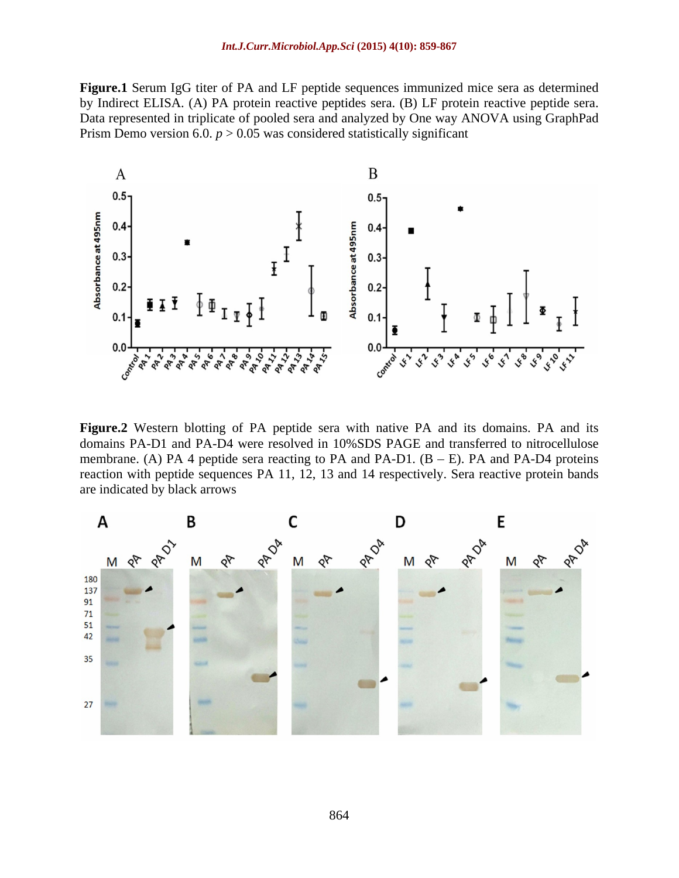**Figure.1** Serum IgG titer of PA and LF peptide sequences immunized mice sera as determined by Indirect ELISA. (A) PA protein reactive peptides sera. (B) LF protein reactive peptide sera. Data represented in triplicate of pooled sera and analyzed by One way ANOVA using GraphPad Prism Demo version 6.0.  $p > 0.05$  was considered statistically significant



Figure.2 Western blotting of PA peptide sera with native PA and its domains. PA and its domains PA-D1 and PA-D4 were resolved in 10%SDS PAGE and transferred to nitrocellulose membrane. (A) PA 4 peptide sera reacting to PA and PA-D1.  $(B - E)$ . PA and PA-D4 proteins reaction with peptide sequences PA 11, 12, 13 and 14 respectively. Sera reactive protein bands are indicated by black arrows

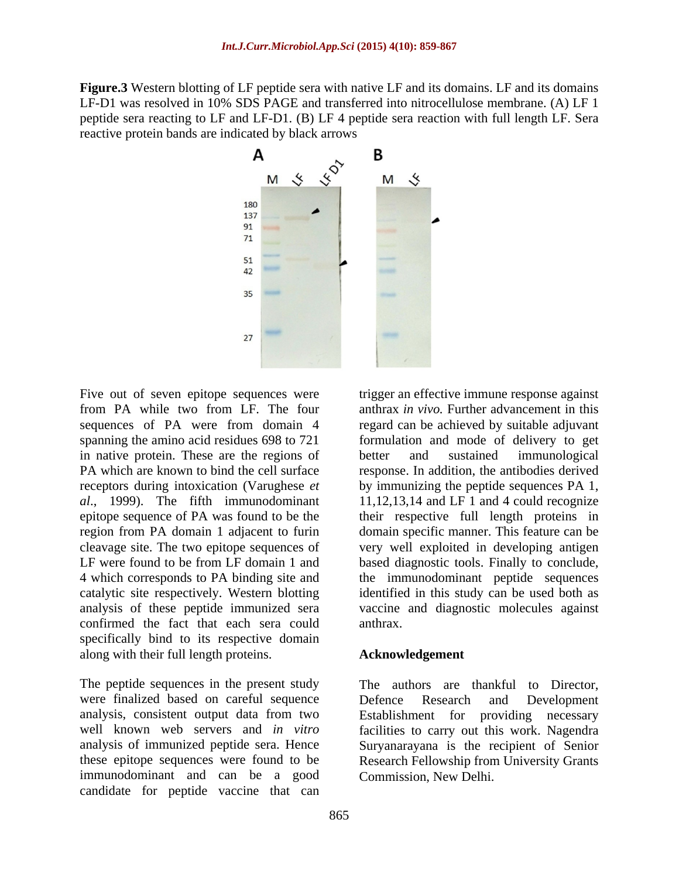**Figure.3** Western blotting of LF peptide sera with native LF and its domains. LF and its domains LF-D1 was resolved in 10% SDS PAGE and transferred into nitrocellulose membrane. (A) LF 1 peptide sera reacting to LF and LF-D1. (B) LF 4 peptide sera reaction with full length LF. Sera reactive protein bands are indicated by black arrows



Five out of seven epitope sequences were trigger an effective immune response against in native protein. These are the regions of better and sustained immunological catalytic site respectively. Western blotting confirmed the fact that each sera could specifically bind to its respective domain along with their full length proteins.

The peptide sequences in the present study a The authors are thankful to Director. were finalized based on careful sequence<br>analysis, consistent output data from two<br>Establishment for providing necessary immunodominant and can be a good candidate for peptide vaccine that can

from PA while two from LF. The four anthrax *in vivo.* Further advancement in this sequences of PA were from domain 4 regard can be achieved by suitable adjuvant spanning the amino acid residues 698 to 721 formulation and mode of delivery to get PA which are known to bind the cell surface response. In addition, the antibodies derived receptors during intoxication (Varughese *et*  by immunizing the peptide sequences PA 1, *al*., 1999). The fifth immunodominant 11,12,13,14 and LF 1 and 4 could recognize epitope sequence of PA was found to be the their respective full length proteins in region from PA domain 1 adjacent to furin domain specific manner. This feature can be cleavage site. The two epitope sequences of very well exploited in developing antigen LF were found to be from LF domain 1 and based diagnostic tools. Finally to conclude, 4 which corresponds to PA binding site and the immunodominant peptide sequences analysis of these peptide immunized sera vaccine and diagnostic molecules against better and sustained immunological identified in this study can be used both as anthrax.

## **Acknowledgement**

analysis, consistent output data from two Establishment for providing necessary well known web servers and *in vitro* facilities to carry out this work. Nagendra analysis of immunized peptide sera. Hence Suryanarayana is the recipient of Senior these epitope sequences were found to be Research Fellowship from University Grants The authors are thankful to Director, Defence Research and Development Commission, New Delhi.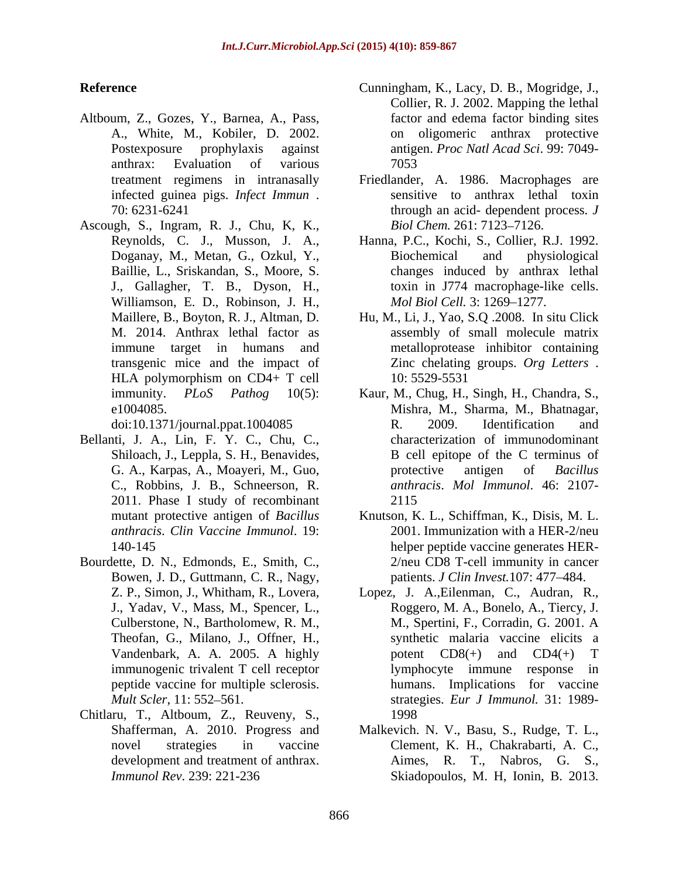- Altboum, Z., Gozes, Y., Barnea, A., Pass, anthrax: Evaluation of various infected guinea pigs. *Infect Immun* .
- Ascough, S., Ingram, R. J., Chu, K, K., J., Gallagher, T. B., Dyson, H., Williamson, E. D., Robinson, J. H., *Mol Biol Cell.* 3: 1269–1277. HLA polymorphism on CD4+ T cell 10: 5529-5531

- Bellanti, J. A., Lin, F. Y. C., Chu, C., Shiloach, J., Leppla, S. H., Benavides, C., Robbins, J. B., Schneerson, R. 2011. Phase I study of recombinant
- Bourdette, D. N., Edmonds, E., Smith, C., Bowen, J. D., Guttmann, C. R., Nagy,
- Chitlaru, T., Altboum, Z., Reuveny, S., *Immunol Rev*. 239: 221-236 Skiadopoulos, M. H, Ionin, B. 2013.
- **Reference** Cunningham, K., Lacy, D. B., Mogridge, J., A., White, M., Kobiler, D. 2002. on oligomeric anthrax protective Postexposure prophylaxis against antigen. *Proc Natl Acad Sci*. 99: 7049- Collier, R. J. 2002. Mapping the lethal factor and edema factor binding sites 7053
	- treatment regimens in intranasally Friedlander, A. 1986. Macrophages are 70: 6231-6241 through an acid- dependent process. *J*  sensitive to anthrax lethal toxin *Biol Chem.* 261: 7123-7126.
	- Reynolds, C. J., Musson, J. A., Hanna, P.C., Kochi, S., Collier, R.J. 1992. Doganay, M., Metan, G., Ozkul, Y., Biochemical and physiological Baillie, L., Sriskandan, S., Moore, S. changes induced by anthrax lethal Biochemical and physiological toxin in J774 macrophage-like cells. *Mol Biol Cell.* 3: 1269–1277.
	- Maillere, B., Boyton, R. J., Altman, D. Hu, M., Li, J., Yao, S.Q .2008. In situ Click M. 2014. Anthrax lethal factor as assembly of small molecule matrix immune target in humans and metalloprotease inhibitor containing transgenic mice and the impact of Zinc chelating groups. *Org Letters* . 10: 5529-5531
	- immunity. *PLoS Pathog* 10(5): Kaur, M., Chug, H., Singh, H., Chandra, S., e1004085. Mishra, M., Sharma, M., Bhatnagar, doi:10.1371/journal.ppat.1004085 G. A., Karpas, A., Moayeri, M., Guo, R. 2009. Identification and characterization of immunodominant B cell epitope of the C terminus of protective antigen of *Bacillus anthracis*. *Mol Immunol*. 46: 2107- 2115
	- mutant protective antigen of *Bacillus*  Knutson, K. L., Schiffman, K., Disis, M. L. *anthracis*. *Clin Vaccine Immunol*. 19: 2001. Immunization with a HER-2/neu 140-145 helper peptide vaccine generates HER- 2/neu CD8 T-cell immunity in cancer patients. *J Clin Invest*. 107: 477-484.
	- Z. P., Simon, J., Whitham, R., Lovera, Lopez, J. A.,Eilenman, C., Audran, R., J., Yadav, V., Mass, M., Spencer, L., Roggero, M. A., Bonelo, A., Tiercy, J. Culberstone, N., Bartholomew, R. M., Theofan, G., Milano, J., Offner, H., synthetic malaria vaccine elicits a Vandenbark, A. A. 2005. A highly potent  $CD8(+)$  and  $CD4(+)$  T immunogenic trivalent T cell receptor bymphocyte immune response in peptide vaccine for multiple sclerosis. humans. Implications for vaccine *Mult Scler*, 11: 552 561. strategies. *Eur J Immunol.* 31: 1989- M., Spertini, F., Corradin, G. 2001. A potent  $CD8(+)$  and  $CD4(+)$  T lymphocyte immune response in 1998
	- Shafferman, A. 2010. Progress and Malkevich. N. V., Basu, S., Rudge, T. L., novel strategies in vaccine Clement, K. H., Chakrabarti, A. C., development and treatment of anthrax. Aimes, R. T., Nabros, G. S.,